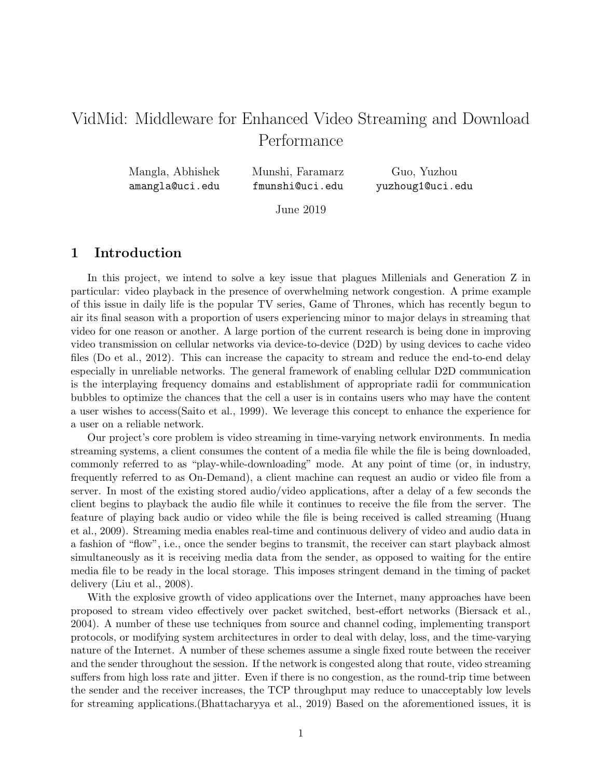# VidMid: Middleware for Enhanced Video Streaming and Download Performance

| Mangla, Abhishek | Munshi, Faramarz | Guo, Yuzhou      |
|------------------|------------------|------------------|
| amangla@uci.edu  | fmunshi@uci.edu  | yuzhoug1@uci.edu |

June 2019

# 1 Introduction

In this project, we intend to solve a key issue that plagues Millenials and Generation Z in particular: video playback in the presence of overwhelming network congestion. A prime example of this issue in daily life is the popular TV series, Game of Thrones, which has recently begun to air its final season with a proportion of users experiencing minor to major delays in streaming that video for one reason or another. A large portion of the current research is being done in improving video transmission on cellular networks via device-to-device (D2D) by using devices to cache video files (Do et al., 2012). This can increase the capacity to stream and reduce the end-to-end delay especially in unreliable networks. The general framework of enabling cellular D2D communication is the interplaying frequency domains and establishment of appropriate radii for communication bubbles to optimize the chances that the cell a user is in contains users who may have the content a user wishes to access(Saito et al., 1999). We leverage this concept to enhance the experience for a user on a reliable network.

Our project's core problem is video streaming in time-varying network environments. In media streaming systems, a client consumes the content of a media file while the file is being downloaded, commonly referred to as "play-while-downloading" mode. At any point of time (or, in industry, frequently referred to as On-Demand), a client machine can request an audio or video file from a server. In most of the existing stored audio/video applications, after a delay of a few seconds the client begins to playback the audio file while it continues to receive the file from the server. The feature of playing back audio or video while the file is being received is called streaming (Huang et al., 2009). Streaming media enables real-time and continuous delivery of video and audio data in a fashion of "flow", i.e., once the sender begins to transmit, the receiver can start playback almost simultaneously as it is receiving media data from the sender, as opposed to waiting for the entire media file to be ready in the local storage. This imposes stringent demand in the timing of packet delivery (Liu et al., 2008).

With the explosive growth of video applications over the Internet, many approaches have been proposed to stream video effectively over packet switched, best-effort networks (Biersack et al., 2004). A number of these use techniques from source and channel coding, implementing transport protocols, or modifying system architectures in order to deal with delay, loss, and the time-varying nature of the Internet. A number of these schemes assume a single fixed route between the receiver and the sender throughout the session. If the network is congested along that route, video streaming suffers from high loss rate and jitter. Even if there is no congestion, as the round-trip time between the sender and the receiver increases, the TCP throughput may reduce to unacceptably low levels for streaming applications.(Bhattacharyya et al., 2019) Based on the aforementioned issues, it is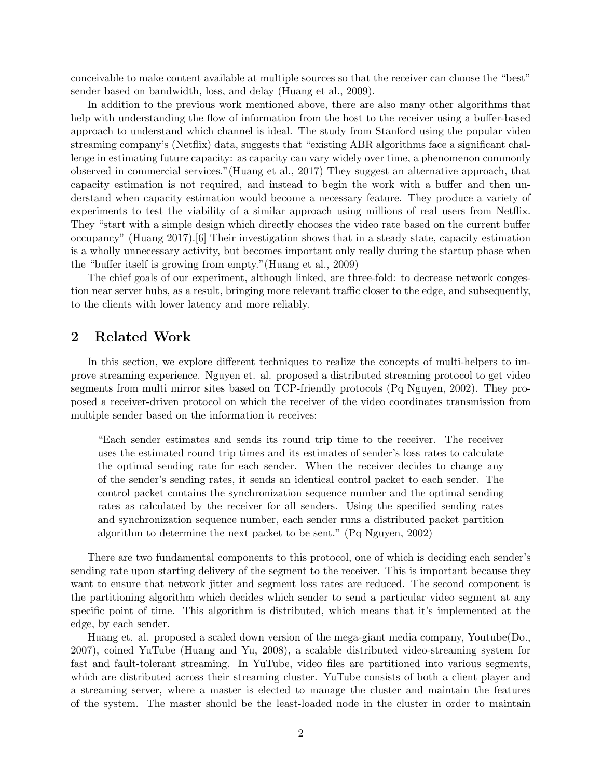conceivable to make content available at multiple sources so that the receiver can choose the "best" sender based on bandwidth, loss, and delay (Huang et al., 2009).

In addition to the previous work mentioned above, there are also many other algorithms that help with understanding the flow of information from the host to the receiver using a buffer-based approach to understand which channel is ideal. The study from Stanford using the popular video streaming company's (Netflix) data, suggests that "existing ABR algorithms face a significant challenge in estimating future capacity: as capacity can vary widely over time, a phenomenon commonly observed in commercial services."(Huang et al., 2017) They suggest an alternative approach, that capacity estimation is not required, and instead to begin the work with a buffer and then understand when capacity estimation would become a necessary feature. They produce a variety of experiments to test the viability of a similar approach using millions of real users from Netflix. They "start with a simple design which directly chooses the video rate based on the current buffer occupancy" (Huang 2017).[6] Their investigation shows that in a steady state, capacity estimation is a wholly unnecessary activity, but becomes important only really during the startup phase when the "buffer itself is growing from empty."(Huang et al., 2009)

The chief goals of our experiment, although linked, are three-fold: to decrease network congestion near server hubs, as a result, bringing more relevant traffic closer to the edge, and subsequently, to the clients with lower latency and more reliably.

# 2 Related Work

In this section, we explore different techniques to realize the concepts of multi-helpers to improve streaming experience. Nguyen et. al. proposed a distributed streaming protocol to get video segments from multi mirror sites based on TCP-friendly protocols (Pq Nguyen, 2002). They proposed a receiver-driven protocol on which the receiver of the video coordinates transmission from multiple sender based on the information it receives:

"Each sender estimates and sends its round trip time to the receiver. The receiver uses the estimated round trip times and its estimates of sender's loss rates to calculate the optimal sending rate for each sender. When the receiver decides to change any of the sender's sending rates, it sends an identical control packet to each sender. The control packet contains the synchronization sequence number and the optimal sending rates as calculated by the receiver for all senders. Using the specified sending rates and synchronization sequence number, each sender runs a distributed packet partition algorithm to determine the next packet to be sent." (Pq Nguyen, 2002)

There are two fundamental components to this protocol, one of which is deciding each sender's sending rate upon starting delivery of the segment to the receiver. This is important because they want to ensure that network jitter and segment loss rates are reduced. The second component is the partitioning algorithm which decides which sender to send a particular video segment at any specific point of time. This algorithm is distributed, which means that it's implemented at the edge, by each sender.

Huang et. al. proposed a scaled down version of the mega-giant media company, Youtube(Do., 2007), coined YuTube (Huang and Yu, 2008), a scalable distributed video-streaming system for fast and fault-tolerant streaming. In YuTube, video files are partitioned into various segments, which are distributed across their streaming cluster. YuTube consists of both a client player and a streaming server, where a master is elected to manage the cluster and maintain the features of the system. The master should be the least-loaded node in the cluster in order to maintain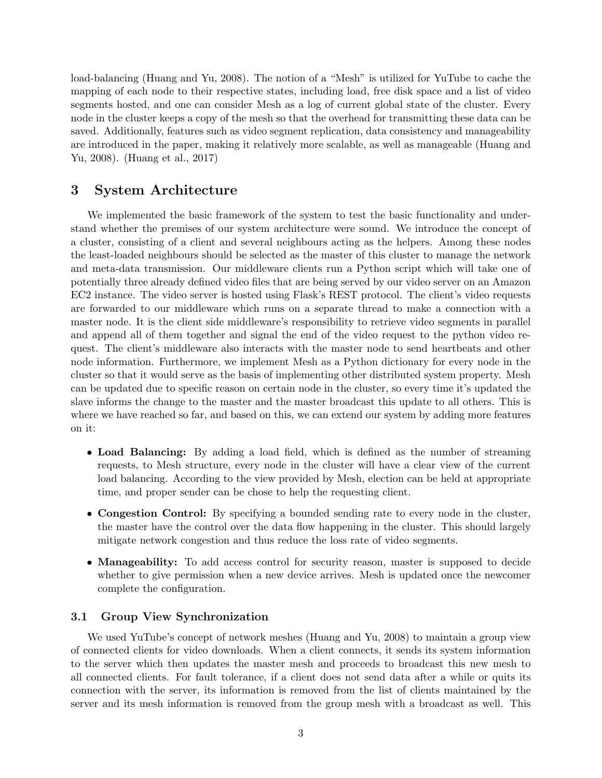load-balancing (Huang and Yu, 2008). The notion of a "Mesh" is utilized for YuTube to cache the mapping of each node to their respective states, including load, free disk space and a list of video segments hosted, and one can consider Mesh as a log of current global state of the cluster. Every node in the cluster keeps a copy of the mesh so that the overhead for transmitting these data can be saved. Additionally, features such as video segment replication, data consistency and manageability are introduced in the paper, making it relatively more scalable, as well as manageable (Huang and Yu, 2008). (Huang et al., 2017)

# 3 System Architecture

We implemented the basic framework of the system to test the basic functionality and understand whether the premises of our system architecture were sound. We introduce the concept of a cluster, consisting of a client and several neighbours acting as the helpers. Among these nodes the least-loaded neighbours should be selected as the master of this cluster to manage the network and meta-data transmission. Our middleware clients run a Python script which will take one of potentially three already defined video files that are being served by our video server on an Amazon EC2 instance. The video server is hosted using Flask's REST protocol. The client's video requests are forwarded to our middleware which runs on a separate thread to make a connection with a master node. It is the client side middleware's responsibility to retrieve video segments in parallel and append all of them together and signal the end of the video request to the python video request. The client's middleware also interacts with the master node to send heartbeats and other node information. Furthermore, we implement Mesh as a Python dictionary for every node in the cluster so that it would serve as the basis of implementing other distributed system property. Mesh can be updated due to specific reason on certain node in the cluster, so every time it's updated the slave informs the change to the master and the master broadcast this update to all others. This is where we have reached so far, and based on this, we can extend our system by adding more features on it:

- Load Balancing: By adding a load field, which is defined as the number of streaming requests, to Mesh structure, every node in the cluster will have a clear view of the current load balancing. According to the view provided by Mesh, election can be held at appropriate time, and proper sender can be chose to help the requesting client.
- Congestion Control: By specifying a bounded sending rate to every node in the cluster, the master have the control over the data flow happening in the cluster. This should largely mitigate network congestion and thus reduce the loss rate of video segments.
- Manageability: To add access control for security reason, master is supposed to decide whether to give permission when a new device arrives. Mesh is updated once the newcomer complete the configuration.

#### 3.1 Group View Synchronization

We used YuTube's concept of network meshes (Huang and Yu, 2008) to maintain a group view of connected clients for video downloads. When a client connects, it sends its system information to the server which then updates the master mesh and proceeds to broadcast this new mesh to all connected clients. For fault tolerance, if a client does not send data after a while or quits its connection with the server, its information is removed from the list of clients maintained by the server and its mesh information is removed from the group mesh with a broadcast as well. This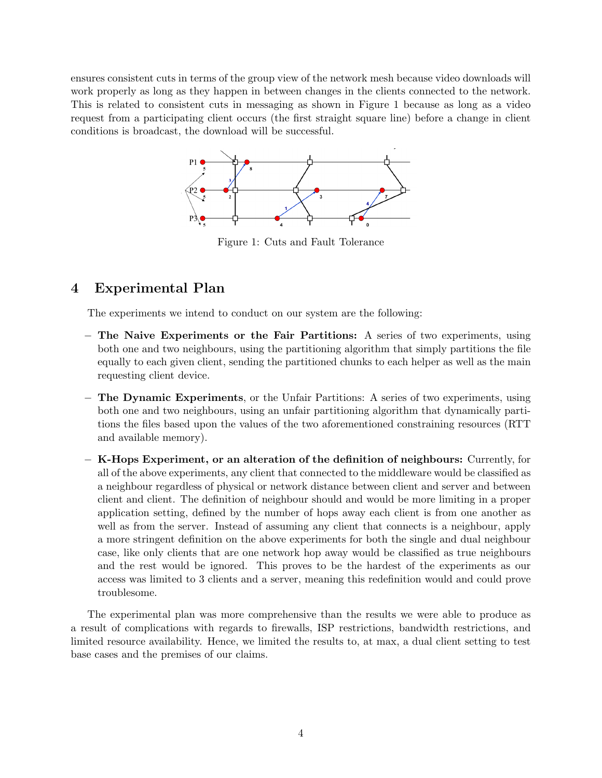ensures consistent cuts in terms of the group view of the network mesh because video downloads will work properly as long as they happen in between changes in the clients connected to the network. This is related to consistent cuts in messaging as shown in Figure 1 because as long as a video request from a participating client occurs (the first straight square line) before a change in client conditions is broadcast, the download will be successful.



Figure 1: Cuts and Fault Tolerance

# 4 Experimental Plan

The experiments we intend to conduct on our system are the following:

- − The Naive Experiments or the Fair Partitions: A series of two experiments, using both one and two neighbours, using the partitioning algorithm that simply partitions the file equally to each given client, sending the partitioned chunks to each helper as well as the main requesting client device.
- − The Dynamic Experiments, or the Unfair Partitions: A series of two experiments, using both one and two neighbours, using an unfair partitioning algorithm that dynamically partitions the files based upon the values of the two aforementioned constraining resources (RTT and available memory).
- − K-Hops Experiment, or an alteration of the definition of neighbours: Currently, for all of the above experiments, any client that connected to the middleware would be classified as a neighbour regardless of physical or network distance between client and server and between client and client. The definition of neighbour should and would be more limiting in a proper application setting, defined by the number of hops away each client is from one another as well as from the server. Instead of assuming any client that connects is a neighbour, apply a more stringent definition on the above experiments for both the single and dual neighbour case, like only clients that are one network hop away would be classified as true neighbours and the rest would be ignored. This proves to be the hardest of the experiments as our access was limited to 3 clients and a server, meaning this redefinition would and could prove troublesome.

The experimental plan was more comprehensive than the results we were able to produce as a result of complications with regards to firewalls, ISP restrictions, bandwidth restrictions, and limited resource availability. Hence, we limited the results to, at max, a dual client setting to test base cases and the premises of our claims.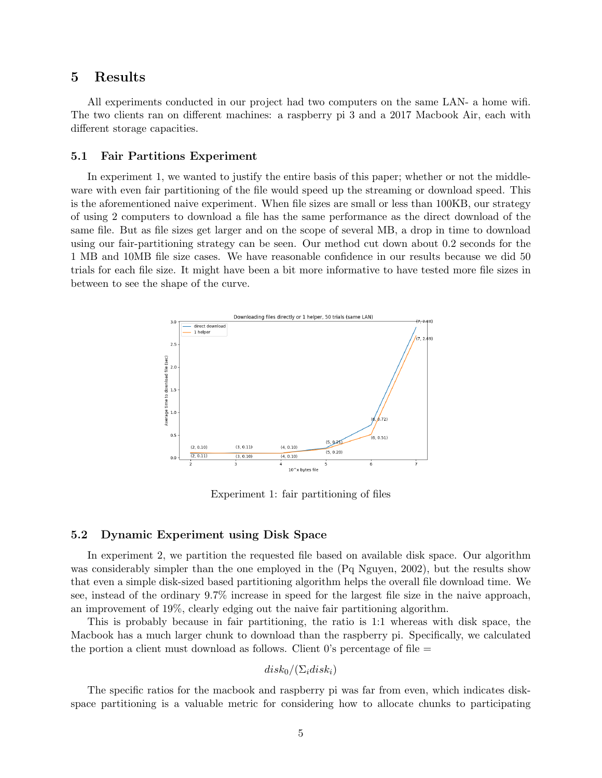### 5 Results

All experiments conducted in our project had two computers on the same LAN- a home wifi. The two clients ran on different machines: a raspberry pi 3 and a 2017 Macbook Air, each with different storage capacities.

#### 5.1 Fair Partitions Experiment

In experiment 1, we wanted to justify the entire basis of this paper; whether or not the middleware with even fair partitioning of the file would speed up the streaming or download speed. This is the aforementioned naive experiment. When file sizes are small or less than 100KB, our strategy of using 2 computers to download a file has the same performance as the direct download of the same file. But as file sizes get larger and on the scope of several MB, a drop in time to download using our fair-partitioning strategy can be seen. Our method cut down about 0.2 seconds for the 1 MB and 10MB file size cases. We have reasonable confidence in our results because we did 50 trials for each file size. It might have been a bit more informative to have tested more file sizes in between to see the shape of the curve.



Experiment 1: fair partitioning of files

#### 5.2 Dynamic Experiment using Disk Space

In experiment 2, we partition the requested file based on available disk space. Our algorithm was considerably simpler than the one employed in the (Pq Nguyen, 2002), but the results show that even a simple disk-sized based partitioning algorithm helps the overall file download time. We see, instead of the ordinary 9.7% increase in speed for the largest file size in the naive approach, an improvement of 19%, clearly edging out the naive fair partitioning algorithm.

This is probably because in fair partitioning, the ratio is 1:1 whereas with disk space, the Macbook has a much larger chunk to download than the raspberry pi. Specifically, we calculated the portion a client must download as follows. Client  $0$ 's percentage of file  $=$ 

$$
disk_0/(\Sigma_i disk_i)
$$

The specific ratios for the macbook and raspberry pi was far from even, which indicates diskspace partitioning is a valuable metric for considering how to allocate chunks to participating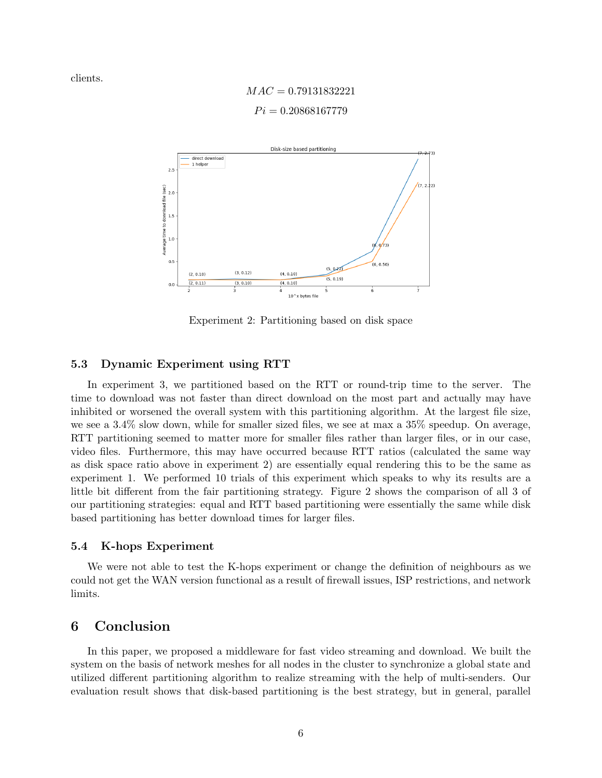clients.

 $MAC = 0.79131832221$  $Pi = 0.20868167779$ 



Experiment 2: Partitioning based on disk space

#### 5.3 Dynamic Experiment using RTT

In experiment 3, we partitioned based on the RTT or round-trip time to the server. The time to download was not faster than direct download on the most part and actually may have inhibited or worsened the overall system with this partitioning algorithm. At the largest file size, we see a 3.4% slow down, while for smaller sized files, we see at max a 35% speedup. On average, RTT partitioning seemed to matter more for smaller files rather than larger files, or in our case, video files. Furthermore, this may have occurred because RTT ratios (calculated the same way as disk space ratio above in experiment 2) are essentially equal rendering this to be the same as experiment 1. We performed 10 trials of this experiment which speaks to why its results are a little bit different from the fair partitioning strategy. Figure 2 shows the comparison of all 3 of our partitioning strategies: equal and RTT based partitioning were essentially the same while disk based partitioning has better download times for larger files.

#### 5.4 K-hops Experiment

We were not able to test the K-hops experiment or change the definition of neighbours as we could not get the WAN version functional as a result of firewall issues, ISP restrictions, and network limits.

# 6 Conclusion

In this paper, we proposed a middleware for fast video streaming and download. We built the system on the basis of network meshes for all nodes in the cluster to synchronize a global state and utilized different partitioning algorithm to realize streaming with the help of multi-senders. Our evaluation result shows that disk-based partitioning is the best strategy, but in general, parallel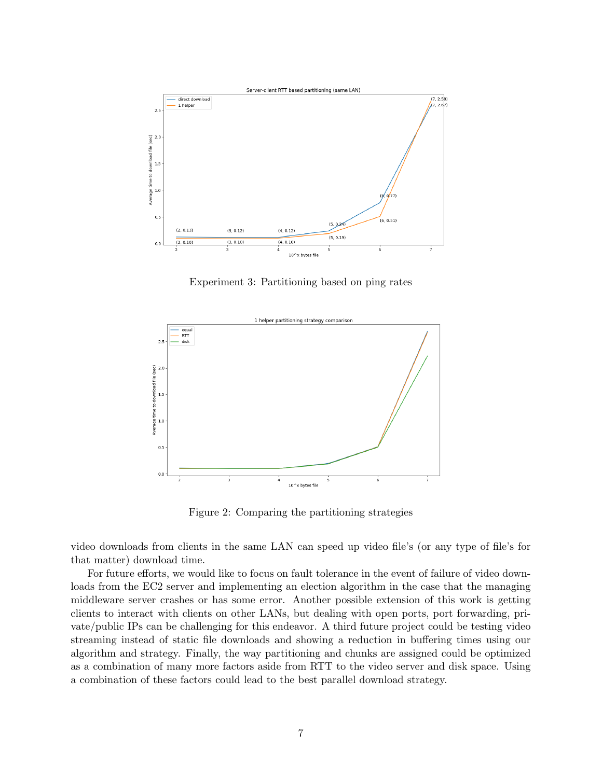

Experiment 3: Partitioning based on ping rates



Figure 2: Comparing the partitioning strategies

video downloads from clients in the same LAN can speed up video file's (or any type of file's for that matter) download time.

For future efforts, we would like to focus on fault tolerance in the event of failure of video downloads from the EC2 server and implementing an election algorithm in the case that the managing middleware server crashes or has some error. Another possible extension of this work is getting clients to interact with clients on other LANs, but dealing with open ports, port forwarding, private/public IPs can be challenging for this endeavor. A third future project could be testing video streaming instead of static file downloads and showing a reduction in buffering times using our algorithm and strategy. Finally, the way partitioning and chunks are assigned could be optimized as a combination of many more factors aside from RTT to the video server and disk space. Using a combination of these factors could lead to the best parallel download strategy.